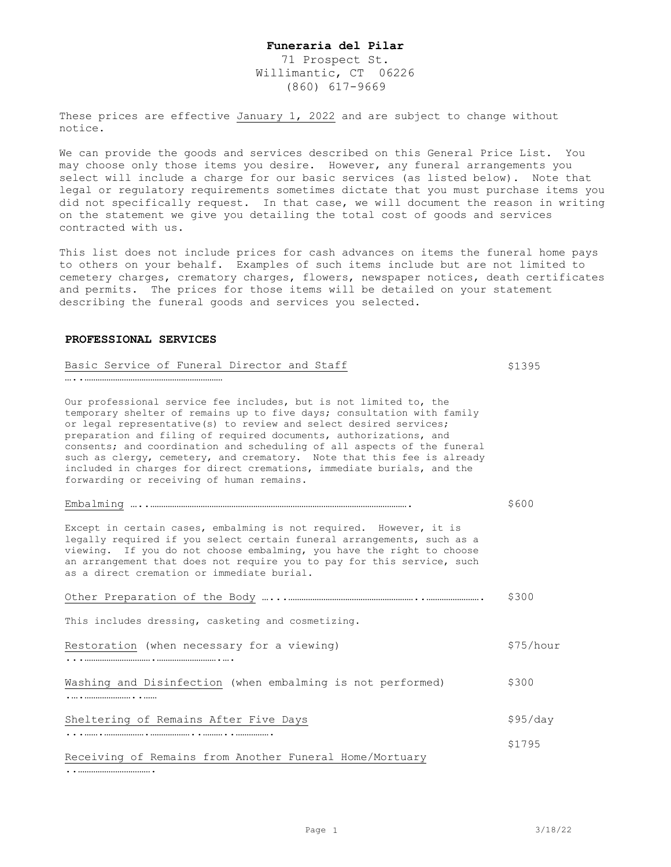71 Prospect St. Willimantic, CT 06226 (860) 617-9669

These prices are effective January 1, 2022 and are subject to change without notice.

We can provide the goods and services described on this General Price List. You may choose only those items you desire. However, any funeral arrangements you select will include a charge for our basic services (as listed below). Note that legal or regulatory requirements sometimes dictate that you must purchase items you did not specifically request. In that case, we will document the reason in writing on the statement we give you detailing the total cost of goods and services contracted with us.

This list does not include prices for cash advances on items the funeral home pays to others on your behalf. Examples of such items include but are not limited to cemetery charges, crematory charges, flowers, newspaper notices, death certificates and permits. The prices for those items will be detailed on your statement describing the funeral goods and services you selected.

#### **PROFESSIONAL SERVICES**

| Basic Service of Funeral Director and Staff                                                                                                                                                                                                                                                                                                                                                                                                                                                                                                                      | \$1395    |
|------------------------------------------------------------------------------------------------------------------------------------------------------------------------------------------------------------------------------------------------------------------------------------------------------------------------------------------------------------------------------------------------------------------------------------------------------------------------------------------------------------------------------------------------------------------|-----------|
|                                                                                                                                                                                                                                                                                                                                                                                                                                                                                                                                                                  |           |
| Our professional service fee includes, but is not limited to, the<br>temporary shelter of remains up to five days; consultation with family<br>or legal representative(s) to review and select desired services;<br>preparation and filing of required documents, authorizations, and<br>consents; and coordination and scheduling of all aspects of the funeral<br>such as clergy, cemetery, and crematory. Note that this fee is already<br>included in charges for direct cremations, immediate burials, and the<br>forwarding or receiving of human remains. |           |
|                                                                                                                                                                                                                                                                                                                                                                                                                                                                                                                                                                  | \$600     |
| Except in certain cases, embalming is not required. However, it is<br>legally required if you select certain funeral arrangements, such as a<br>viewing. If you do not choose embalming, you have the right to choose<br>an arrangement that does not require you to pay for this service, such<br>as a direct cremation or immediate burial.                                                                                                                                                                                                                    |           |
|                                                                                                                                                                                                                                                                                                                                                                                                                                                                                                                                                                  | \$300     |
| This includes dressing, casketing and cosmetizing.                                                                                                                                                                                                                                                                                                                                                                                                                                                                                                               |           |
| Restoration (when necessary for a viewing)                                                                                                                                                                                                                                                                                                                                                                                                                                                                                                                       | \$75/hour |
| Washing and Disinfection (when embalming is not performed)<br>.                                                                                                                                                                                                                                                                                                                                                                                                                                                                                                  | \$300     |
| Sheltering of Remains After Five Days                                                                                                                                                                                                                                                                                                                                                                                                                                                                                                                            | \$95/day  |
|                                                                                                                                                                                                                                                                                                                                                                                                                                                                                                                                                                  | \$1795    |
| Receiving of Remains from Another Funeral Home/Mortuary                                                                                                                                                                                                                                                                                                                                                                                                                                                                                                          |           |

..…………………………….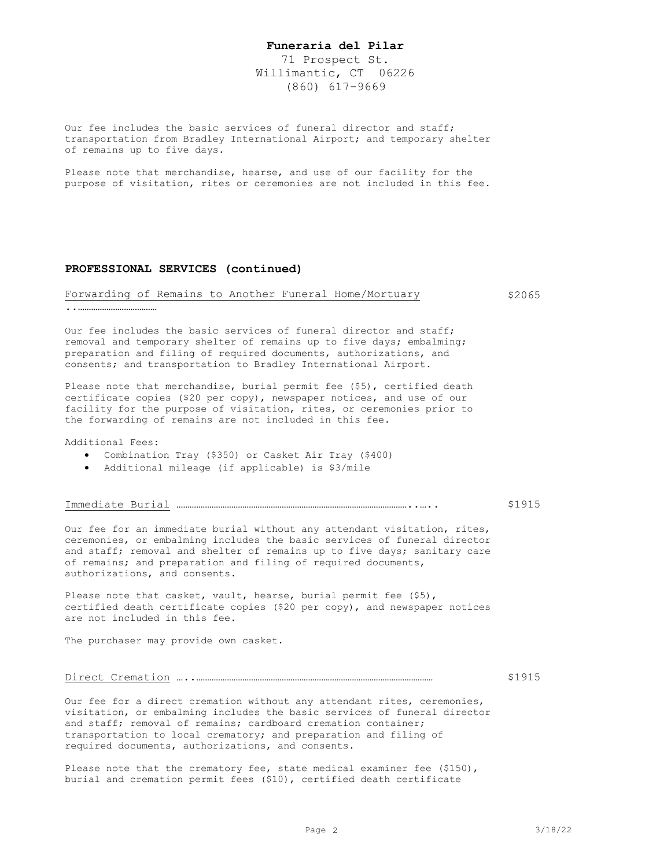71 Prospect St. Willimantic, CT 06226 (860) 617-9669

Our fee includes the basic services of funeral director and staff; transportation from Bradley International Airport; and temporary shelter of remains up to five days.

Please note that merchandise, hearse, and use of our facility for the purpose of visitation, rites or ceremonies are not included in this fee.

#### **PROFESSIONAL SERVICES (continued)**

#### Forwarding of Remains to Another Funeral Home/Mortuary \$2065

..………………………………

Our fee includes the basic services of funeral director and staff; removal and temporary shelter of remains up to five days; embalming; preparation and filing of required documents, authorizations, and consents; and transportation to Bradley International Airport.

Please note that merchandise, burial permit fee (\$5), certified death certificate copies (\$20 per copy), newspaper notices, and use of our facility for the purpose of visitation, rites, or ceremonies prior to the forwarding of remains are not included in this fee.

Additional Fees:

- Combination Tray (\$350) or Casket Air Tray (\$400)
- Additional mileage (if applicable) is \$3/mile

Immediate Burial ……………………………………………………………………………………………..…..

#### \$1915

Our fee for an immediate burial without any attendant visitation, rites, ceremonies, or embalming includes the basic services of funeral director and staff; removal and shelter of remains up to five days; sanitary care of remains; and preparation and filing of required documents, authorizations, and consents.

Please note that casket, vault, hearse, burial permit fee (\$5), certified death certificate copies (\$20 per copy), and newspaper notices are not included in this fee.

The purchaser may provide own casket.

#### Direct Cremation …..………………………………………………………………………………………………

Our fee for a direct cremation without any attendant rites, ceremonies, visitation, or embalming includes the basic services of funeral director and staff; removal of remains; cardboard cremation container; transportation to local crematory; and preparation and filing of required documents, authorizations, and consents.

Please note that the crematory fee, state medical examiner fee (\$150), burial and cremation permit fees (\$10), certified death certificate

\$1915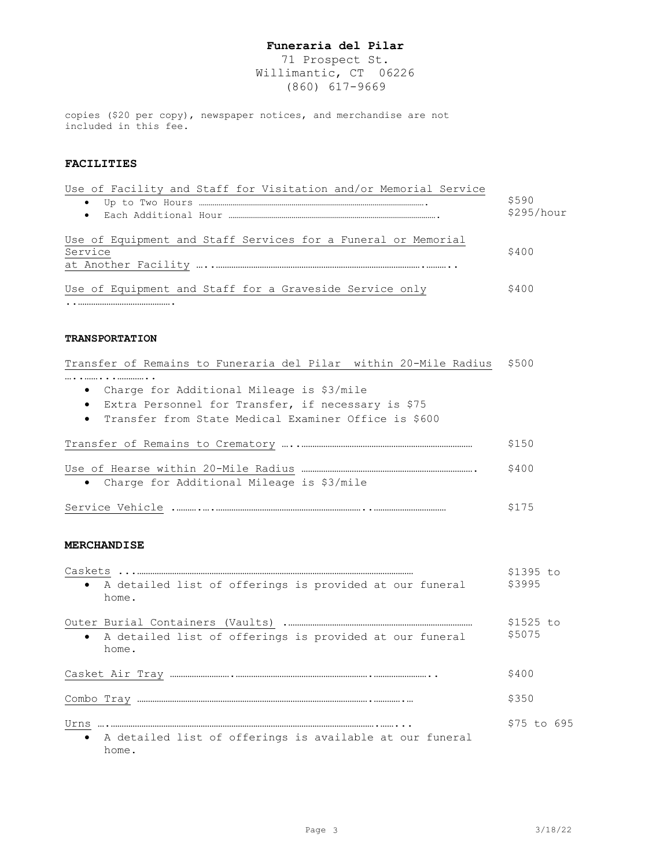71 Prospect St. Willimantic, CT 06226 (860) 617-9669

copies (\$20 per copy), newspaper notices, and merchandise are not included in this fee.

### **FACILITIES**

| Use of Facility and Staff for Visitation and/or Memorial Service |            |
|------------------------------------------------------------------|------------|
| $\bullet$                                                        | \$590      |
|                                                                  | \$295/hour |
| Use of Equipment and Staff Services for a Funeral or Memorial    |            |
| Service                                                          | \$400      |
|                                                                  |            |
| Use of Equipment and Staff for a Graveside Service only          | \$400      |

..…………………………………….

#### **TRANSPORTATION**

| Transfer of Remains to Funeraria del Pilar within 20-Mile Radius | \$500 |
|------------------------------------------------------------------|-------|
|                                                                  |       |
| Charge for Additional Mileage is \$3/mile<br>$\bullet$           |       |
| Extra Personnel for Transfer, if necessary is \$75<br>$\bullet$  |       |
| • Transfer from State Medical Examiner Office is \$600           |       |
|                                                                  | \$150 |
|                                                                  | \$400 |
| • Charge for Additional Mileage is \$3/mile                      |       |
| Service Vehicle                                                  |       |

#### **MERCHANDISE**

| Caskets<br>\$1395 to                                                                   |             |  |
|----------------------------------------------------------------------------------------|-------------|--|
| • A detailed list of offerings is provided at our funeral<br>home.                     | \$3995      |  |
|                                                                                        |             |  |
| • A detailed list of offerings is provided at our funeral<br>home.                     | \$5075      |  |
|                                                                                        | \$400       |  |
|                                                                                        | \$350       |  |
| Urns<br>A detailed list of offerings is available at our funeral<br>$\bullet$<br>home. | \$75 to 695 |  |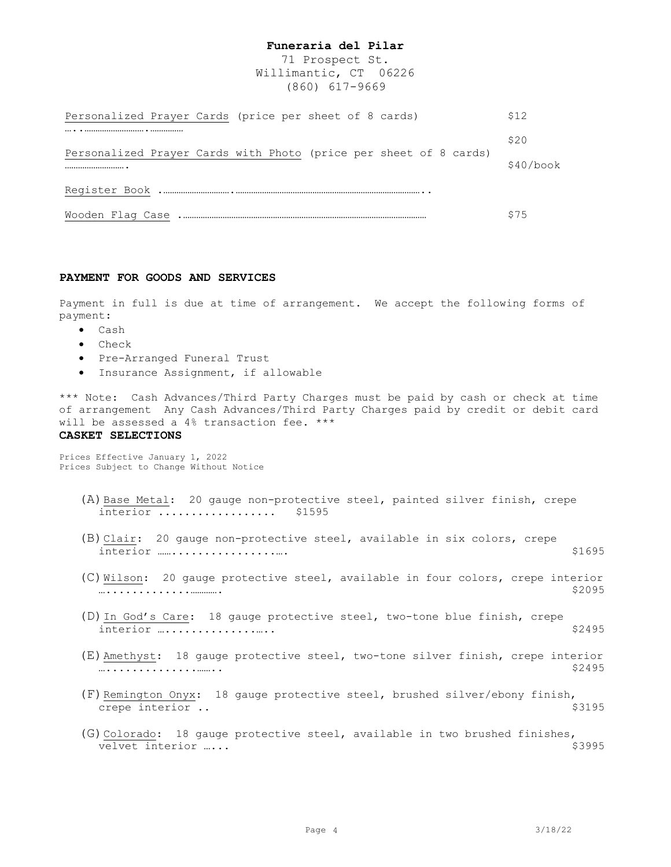71 Prospect St. Willimantic, CT 06226 (860) 617-9669

| Personalized Prayer Cards (price per sheet of 8 cards)                | S12         |  |  |
|-----------------------------------------------------------------------|-------------|--|--|
|                                                                       | \$20        |  |  |
| Personalized Prayer Cards with Photo (price per sheet of 8 cards)<br> | $$40/h$ ook |  |  |
|                                                                       |             |  |  |
|                                                                       | \$75        |  |  |

#### **PAYMENT FOR GOODS AND SERVICES**

Payment in full is due at time of arrangement. We accept the following forms of payment:

- Cash
- Check
- Pre-Arranged Funeral Trust
- Insurance Assignment, if allowable

\*\*\* Note: Cash Advances/Third Party Charges must be paid by cash or check at time of arrangement Any Cash Advances/Third Party Charges paid by credit or debit card will be assessed a 4% transaction fee. \*\*\*

#### **CASKET SELECTIONS**

Prices Effective January 1, 2022 Prices Subject to Change Without Notice

- (A)Base Metal: 20 gauge non-protective steel, painted silver finish, crepe interior .................. \$1595
- (B)Clair: 20 gauge non-protective steel, available in six colors, crepe interior ……................…. \$1695
- (C)  $\underline{\text{Wilson}}$ : 20 gauge protective steel, available in four colors, crepe interior<br>  $\dots \dots \dots \dots \dots \dots \dots$ ….............…………. \$2095
- (D)In God's Care: 18 gauge protective steel, two-tone blue finish, crepe interior …..................
- (E)Amethyst: 18 gauge protective steel, two-tone silver finish, crepe interior …..............…….. \$2495
- (F) Remington Onyx: 18 gauge protective steel, brushed silver/ebony finish,<br>crepe interior..  $$3195$ crepe interior ..
- (G)  $\frac{\text{Colorado}}{\text{velvet}}$ : 18 gauge protective steel, available in two brushed finishes,<br>velvet interior .... velvet interior …...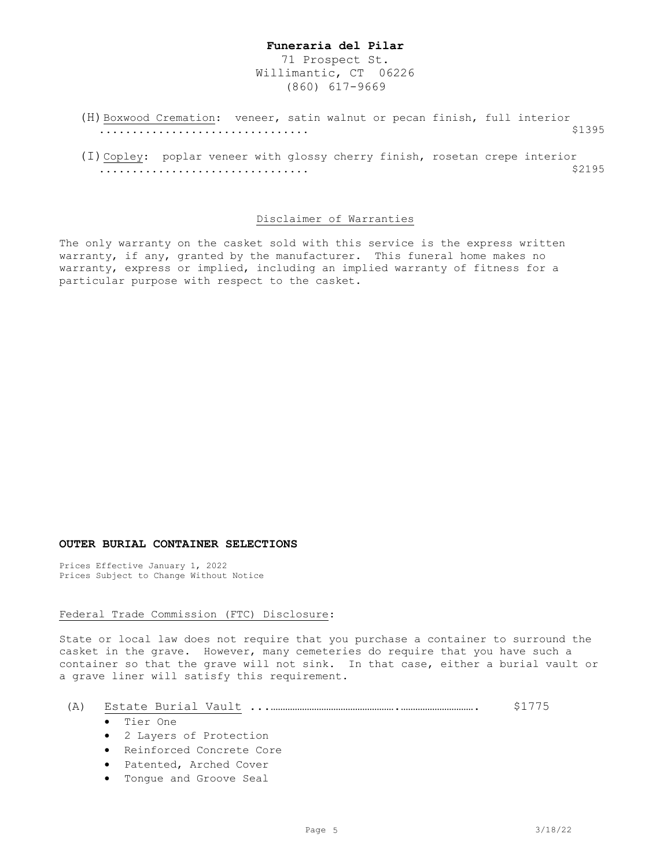71 Prospect St. Willimantic, CT 06226 (860) 617-9669

(H) Boxwood Cremation: veneer, satin walnut or pecan finish, full interior<br>\$1395 ................................ \$1395

(I)Copley: poplar veneer with glossy cherry finish, rosetan crepe interior<br>\$2195 ................................ \$2195

#### Disclaimer of Warranties

The only warranty on the casket sold with this service is the express written warranty, if any, granted by the manufacturer. This funeral home makes no warranty, express or implied, including an implied warranty of fitness for a particular purpose with respect to the casket.

#### **OUTER BURIAL CONTAINER SELECTIONS**

Prices Effective January 1, 2022 Prices Subject to Change Without Notice

#### Federal Trade Commission (FTC) Disclosure:

State or local law does not require that you purchase a container to surround the casket in the grave. However, many cemeteries do require that you have such a container so that the grave will not sink. In that case, either a burial vault or a grave liner will satisfy this requirement.

| (A) |  |
|-----|--|
|-----|--|

- Tier One
- 2 Layers of Protection
- Reinforced Concrete Core
- Patented, Arched Cover
- Tongue and Groove Seal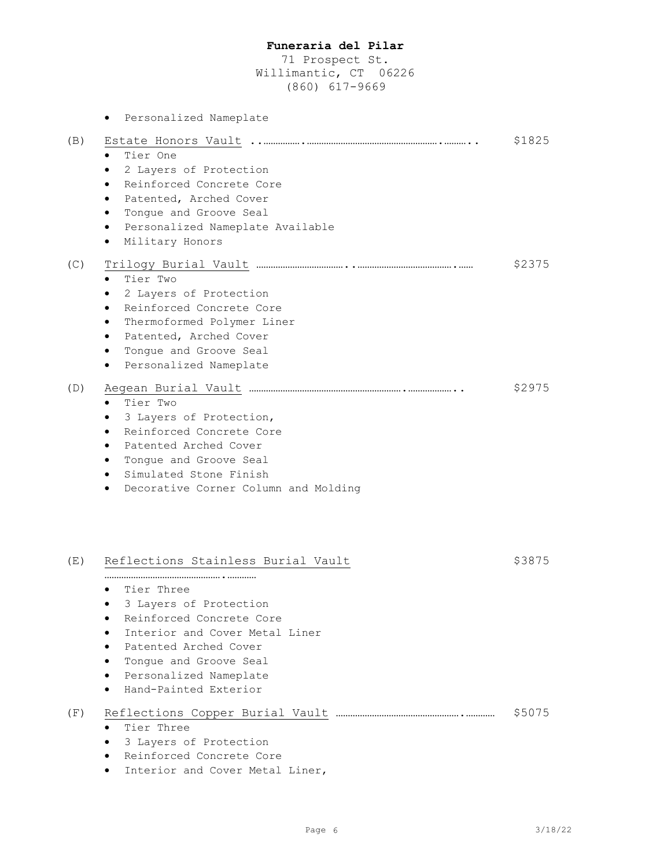71 Prospect St. Willimantic, CT 06226 (860) 617-9669

|     | Personalized Nameplate<br>$\bullet$                                                                                                                                                                                                            |        |
|-----|------------------------------------------------------------------------------------------------------------------------------------------------------------------------------------------------------------------------------------------------|--------|
| (B) | Tier One<br>2 Layers of Protection<br>Reinforced Concrete Core<br>Patented, Arched Cover<br>Tongue and Groove Seal<br>Personalized Nameplate Available<br>$\bullet$<br>Military Honors                                                         | \$1825 |
| (C) | Tier Two<br>2 Layers of Protection<br>Reinforced Concrete Core<br>$\bullet$<br>Thermoformed Polymer Liner<br>$\bullet$<br>Patented, Arched Cover<br>٠<br>Tonque and Groove Seal<br>٠<br>Personalized Nameplate<br>$\bullet$                    | \$2375 |
| (D) | Tier Two<br>3 Layers of Protection,<br>Reinforced Concrete Core<br>Patented Arched Cover<br>Tongue and Groove Seal<br>Simulated Stone Finish<br>Decorative Corner Column and Molding                                                           | \$2975 |
| (E) | Reflections Stainless Burial Vault<br>Tier Three<br>3 Layers of Protection<br>Reinforced Concrete Core<br>Interior and Cover Metal Liner<br>Patented Arched Cover<br>Tongue and Groove Seal<br>Personalized Nameplate<br>Hand-Painted Exterior | \$3875 |
| (F) | Tier Three<br>3 Layers of Protection<br>Reinforced Concrete Core<br>Interior and Cover Metal Liner,                                                                                                                                            | \$5075 |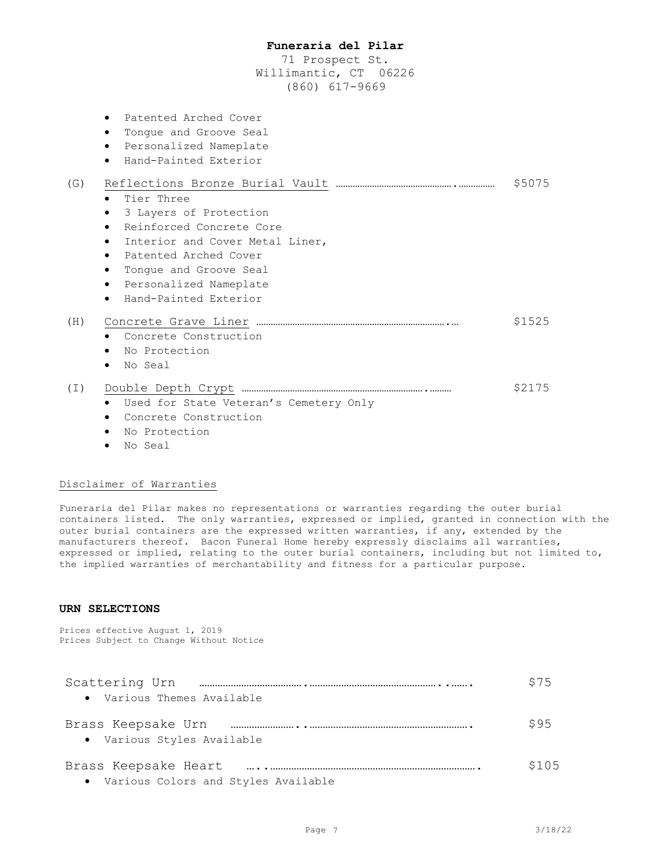71 Prospect St. Willimantic, CT 06226 (860) 617-9669

|     | Patented Arched Cover<br>Tongue and Groove Seal<br>$\bullet$<br>• Personalized Nameplate<br>Hand-Painted Exterior<br>$\bullet$                                                                                            |        |
|-----|---------------------------------------------------------------------------------------------------------------------------------------------------------------------------------------------------------------------------|--------|
| (G) | Tier Three<br>$\bullet$<br>3 Layers of Protection<br>$\bullet$                                                                                                                                                            | \$5075 |
|     | Reinforced Concrete Core<br>$\bullet$<br>Interior and Cover Metal Liner,<br>$\bullet$<br>• Patented Arched Cover<br>Tongue and Groove Seal<br>$\bullet$<br>• Personalized Nameplate<br>Hand-Painted Exterior<br>$\bullet$ |        |
| (H) | • Concrete Construction<br>• No Protection<br>No Seal<br>$\bullet$                                                                                                                                                        | \$1525 |
|     | • Used for State Veteran's Cemetery Only<br>Concrete Construction                                                                                                                                                         | \$2175 |

- No Protection
- No Seal

#### Disclaimer of Warranties

Funeraria del Pilar makes no representations or warranties regarding the outer burial containers listed. The only warranties, expressed or implied, granted in connection with the outer burial containers are the expressed written warranties, if any, extended by the manufacturers thereof. Bacon Funeral Home hereby expressly disclaims all warranties, expressed or implied, relating to the outer burial containers, including but not limited to, the implied warranties of merchantability and fitness for a particular purpose.

### **URN SELECTIONS**

Prices effective August 1, 2019 Prices Subject to Change Without Notice

| Scattering Urn                                   | \$75  |
|--------------------------------------------------|-------|
| • Various Themes Available                       |       |
| Brass Keepsake Urn<br>• Various Styles Available | S95   |
| • Various Colors and Styles Available            | \$105 |